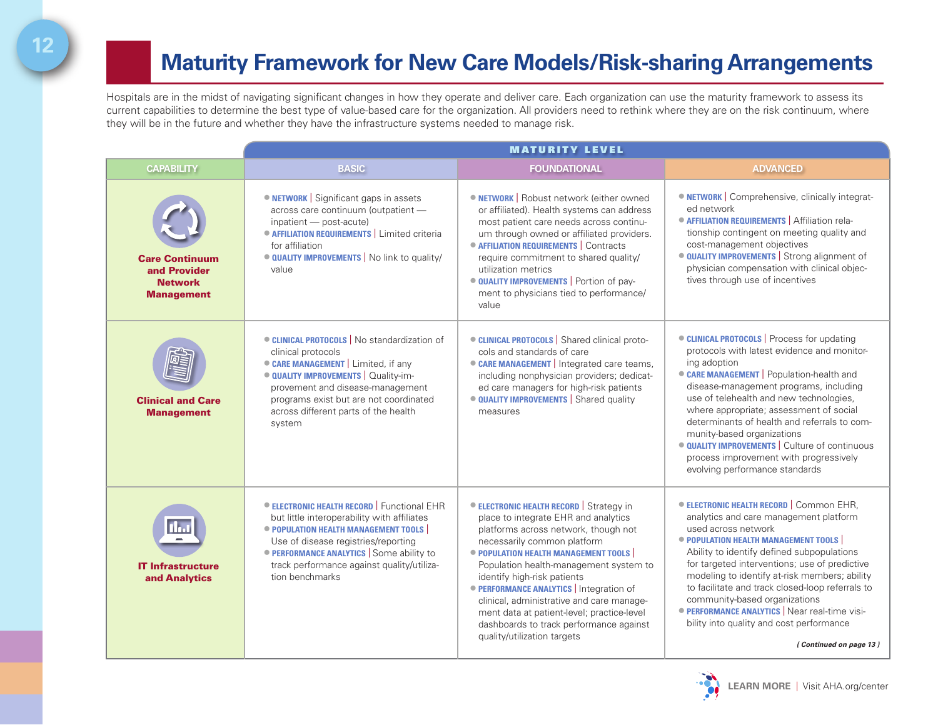## **Maturity Framework for New Care Models/Risk-sharing Arrangements**

Hospitals are in the midst of navigating significant changes in how they operate and deliver care. Each organization can use the maturity framework to assess its current capabilities to determine the best type of value-based care for the organization. All providers need to rethink where they are on the risk continuum, where they will be in the future and whether they have the infrastructure systems needed to manage risk.

|                                                                              | <b>MATURITY LEVEL</b>                                                                                                                                                                                                                                                                       |                                                                                                                                                                                                                                                                                                                                                                                                                                                                                                     |                                                                                                                                                                                                                                                                                                                                                                                                                                                                                                                            |
|------------------------------------------------------------------------------|---------------------------------------------------------------------------------------------------------------------------------------------------------------------------------------------------------------------------------------------------------------------------------------------|-----------------------------------------------------------------------------------------------------------------------------------------------------------------------------------------------------------------------------------------------------------------------------------------------------------------------------------------------------------------------------------------------------------------------------------------------------------------------------------------------------|----------------------------------------------------------------------------------------------------------------------------------------------------------------------------------------------------------------------------------------------------------------------------------------------------------------------------------------------------------------------------------------------------------------------------------------------------------------------------------------------------------------------------|
| <b>CAPABILITY</b>                                                            | <b>BASIC</b>                                                                                                                                                                                                                                                                                | <b>FOUNDATIONAL</b>                                                                                                                                                                                                                                                                                                                                                                                                                                                                                 | <b>ADVANCED</b>                                                                                                                                                                                                                                                                                                                                                                                                                                                                                                            |
| <b>Care Continuum</b><br>and Provider<br><b>Network</b><br><b>Management</b> | • NETWORK   Significant gaps in assets<br>across care continuum (outpatient -<br>inpatient - post-acute)<br>• AFFILIATION REQUIREMENTS   Limited criteria<br>for affiliation<br><b>OUALITY IMPROVEMENTS</b> No link to quality/<br>value                                                    | <b>ONETWORK</b>   Robust network (either owned<br>or affiliated). Health systems can address<br>most patient care needs across continu-<br>um through owned or affiliated providers.<br>• AFFILIATION REQUIREMENTS   Contracts<br>require commitment to shared quality/<br>utilization metrics<br>· QUALITY IMPROVEMENTS   Portion of pay-<br>ment to physicians tied to performance/<br>value                                                                                                      | <b>ONETWORK</b>   Comprehensive, clinically integrat-<br>ed network<br>• AFFILIATION REQUIREMENTS   Affiliation rela-<br>tionship contingent on meeting quality and<br>cost-management objectives<br><b>QUALITY IMPROVEMENTS</b> Strong alignment of<br>physician compensation with clinical objec-<br>tives through use of incentives                                                                                                                                                                                     |
| <b>Clinical and Care</b><br><b>Management</b>                                | <b>CLINICAL PROTOCOLS</b>   No standardization of<br>clinical protocols<br>• CARE MANAGEMENT   Limited, if any<br><b>OUALITY IMPROVEMENTS</b>   Quality-im-<br>provement and disease-management<br>programs exist but are not coordinated<br>across different parts of the health<br>system | <b>CLINICAL PROTOCOLS</b>   Shared clinical proto-<br>cols and standards of care<br>CARE MANAGEMENT   Integrated care teams,<br>including nonphysician providers; dedicat-<br>ed care managers for high-risk patients<br><b>QUALITY IMPROVEMENTS</b> Shared quality<br>measures                                                                                                                                                                                                                     | • CLINICAL PROTOCOLS   Process for updating<br>protocols with latest evidence and monitor-<br>ing adoption<br>CARE MANAGEMENT   Population-health and<br>disease-management programs, including<br>use of telehealth and new technologies,<br>where appropriate; assessment of social<br>determinants of health and referrals to com-<br>munity-based organizations<br><b>OUALITY IMPROVEMENTS</b> Culture of continuous<br>process improvement with progressively<br>evolving performance standards                       |
| l Ind<br><b>IT Infrastructure</b><br>and Analytics                           | <b>ELECTRONIC HEALTH RECORD</b> Functional EHR<br>but little interoperability with affiliates<br>• POPULATION HEALTH MANAGEMENT TOOLS<br>Use of disease registries/reporting<br>• PERFORMANCE ANALYTICS Some ability to<br>track performance against quality/utiliza-<br>tion benchmarks    | <b>ELECTRONIC HEALTH RECORD</b> Strategy in<br>place to integrate EHR and analytics<br>platforms across network, though not<br>necessarily common platform<br>• POPULATION HEALTH MANAGEMENT TOOLS<br>Population health-management system to<br>identify high-risk patients<br><b>• PERFORMANCE ANALYTICS</b>   Integration of<br>clinical, administrative and care manage-<br>ment data at patient-level; practice-level<br>dashboards to track performance against<br>quality/utilization targets | <b>ELECTRONIC HEALTH RECORD</b>   Common EHR,<br>analytics and care management platform<br>used across network<br>· POPULATION HEALTH MANAGEMENT TOOLS<br>Ability to identify defined subpopulations<br>for targeted interventions; use of predictive<br>modeling to identify at-risk members; ability<br>to facilitate and track closed-loop referrals to<br>community-based organizations<br><b>• PERFORMANCE ANALYTICS   Near real-time visi-</b><br>bility into quality and cost performance<br>(Continued on page 13) |